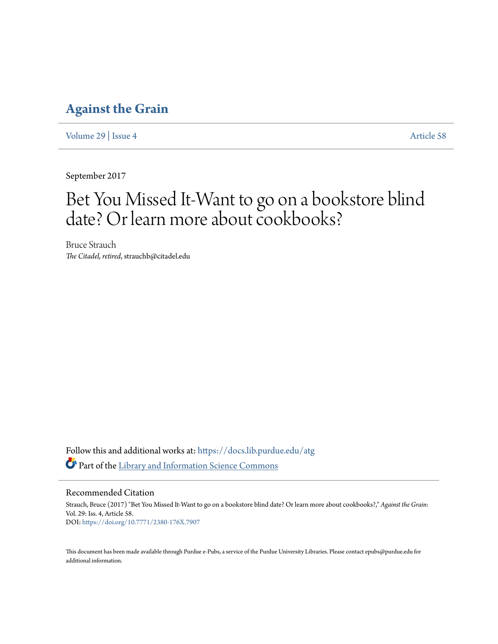## **[Against the Grain](https://docs.lib.purdue.edu/atg?utm_source=docs.lib.purdue.edu%2Fatg%2Fvol29%2Fiss4%2F58&utm_medium=PDF&utm_campaign=PDFCoverPages)**

[Volume 29](https://docs.lib.purdue.edu/atg/vol29?utm_source=docs.lib.purdue.edu%2Fatg%2Fvol29%2Fiss4%2F58&utm_medium=PDF&utm_campaign=PDFCoverPages) | [Issue 4](https://docs.lib.purdue.edu/atg/vol29/iss4?utm_source=docs.lib.purdue.edu%2Fatg%2Fvol29%2Fiss4%2F58&utm_medium=PDF&utm_campaign=PDFCoverPages) [Article 58](https://docs.lib.purdue.edu/atg/vol29/iss4/58?utm_source=docs.lib.purdue.edu%2Fatg%2Fvol29%2Fiss4%2F58&utm_medium=PDF&utm_campaign=PDFCoverPages)

September 2017

# Bet You Missed It-Want to go on a bookstore blind date? Or learn more about cookbooks?

Bruce Strauch *The Citadel, retired*, strauchb@citadel.edu

Follow this and additional works at: [https://docs.lib.purdue.edu/atg](https://docs.lib.purdue.edu/atg?utm_source=docs.lib.purdue.edu%2Fatg%2Fvol29%2Fiss4%2F58&utm_medium=PDF&utm_campaign=PDFCoverPages) Part of the [Library and Information Science Commons](http://network.bepress.com/hgg/discipline/1018?utm_source=docs.lib.purdue.edu%2Fatg%2Fvol29%2Fiss4%2F58&utm_medium=PDF&utm_campaign=PDFCoverPages)

Recommended Citation

Strauch, Bruce (2017) "Bet You Missed It-Want to go on a bookstore blind date? Or learn more about cookbooks?," *Against the Grain*: Vol. 29: Iss. 4, Article 58. DOI: <https://doi.org/10.7771/2380-176X.7907>

This document has been made available through Purdue e-Pubs, a service of the Purdue University Libraries. Please contact epubs@purdue.edu for additional information.